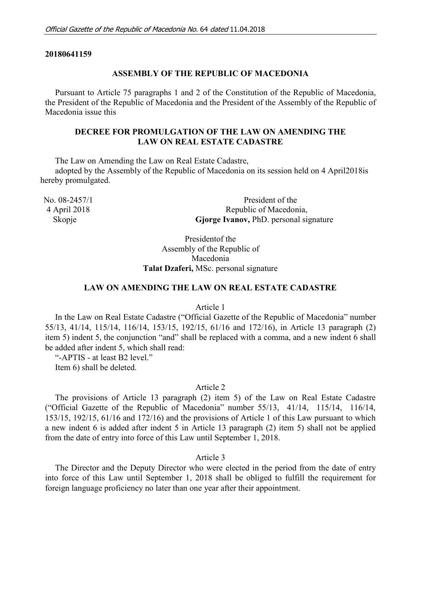### **20180641159**

## **ASSEMBLY OF THE REPUBLIC OF MACEDONIA**

Pursuant to Article 75 paragraphs 1 and 2 of the Constitution of the Republic of Macedonia, the President of the Republic of Macedonia and the President of the Assembly of the Republic of Macedonia issue this

# **DECREE FOR PROMULGATION OF THE LAW ON AMENDING THE LAW ON REAL ESTATE CADASTRE**

The Law on Amending the Law on Real Estate Cadastre,

adopted by the Assembly of the Republic of Macedonia on its session held on 4 April2018is hereby promulgated.

No. 08-2457/1 President of the 4 April 2018 Republic of Macedonia, Skopje **Gjorge Ivanov**, PhD. personal signature

> Presidentof the Assembly of the Republic of Macedonia **Talat Dzaferi,** MSc. personal signature

## **LAW ON AMENDING THE LAW ON REAL ESTATE CADASTRE**

#### Article 1

In the Law on Real Estate Cadastre ("Official Gazette of the Republic of Macedonia" number 55/13, 41/14, 115/14, 116/14, 153/15, 192/15, 61/16 and 172/16), in Article 13 paragraph (2) item 5) indent 5, the conjunction "and" shall be replaced with a comma, and a new indent 6 shall be added after indent 5, which shall read:

"-APTIS - at least B2 level."

Item 6) shall be deleted.

## Article 2

The provisions of Article 13 paragraph (2) item 5) of the Law on Real Estate Cadastre ("Official Gazette of the Republic of Macedonia" number 55/13, 41/14, 115/14, 116/14, 153/15, 192/15, 61/16 and 172/16) and the provisions of Article 1 of this Law pursuant to which a new indent 6 is added after indent 5 in Article 13 paragraph (2) item 5) shall not be applied from the date of entry into force of this Law until September 1, 2018.

Article 3

The Director and the Deputy Director who were elected in the period from the date of entry into force of this Law until September 1, 2018 shall be obliged to fulfill the requirement for foreign language proficiency no later than one year after their appointment.